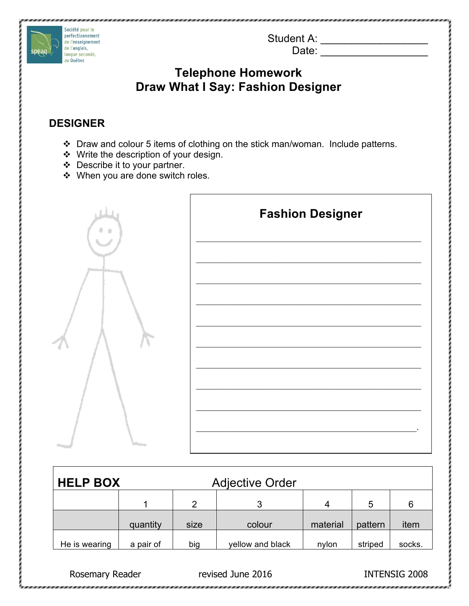Student A: \_\_\_\_\_\_\_\_\_\_\_\_\_\_\_\_\_\_\_\_\_\_\_\_\_

Date: \_\_\_\_\_\_\_\_\_\_\_\_\_\_\_\_\_\_

# **Telephone Homework Draw What I Say: Fashion Designer**

### **DESIGNER**

Société pour le perfectionnement de l'enseignement de l'anglais,

langue seconde, au Québec

i<br>I

speag

- \* Draw and colour 5 items of clothing on the stick man/woman. Include patterns.
- ◆ Write the description of your design.
- v Describe it to your partner.
- ◆ When you are done switch roles.



| <b>HELP BOX</b><br><b>Adjective Order</b> |           |      |                  |          |         |        |
|-------------------------------------------|-----------|------|------------------|----------|---------|--------|
|                                           |           | 2    | 3                | 4        | 5       | 6      |
|                                           | quantity  | size | colour           | material | pattern | item   |
| He is wearing                             | a pair of | big  | yellow and black | nvlon    | striped | socks. |

Rosemary Reader **Rosemary Reader** revised June 2016 **INTENSIG 2008**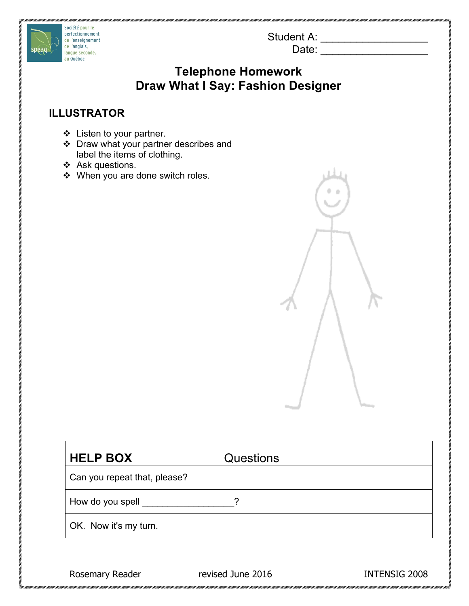Student A: \_\_\_\_\_\_\_\_\_\_\_\_\_\_\_\_\_\_\_\_\_\_\_\_ Date:  $\Box$ 



# **Telephone Homework Draw What I Say: Fashion Designer**

### **ILLUSTRATOR**

- $\div$  Listen to your partner.
- $\div$  Draw what your partner describes and label the items of clothing.
- $\div$  Ask questions.
- ◆ When you are done switch roles.



| <b>HELP BOX</b>              | Questions |  |  |
|------------------------------|-----------|--|--|
| Can you repeat that, please? |           |  |  |
| How do you spell __          | ົ         |  |  |
| OK. Now it's my turn.        |           |  |  |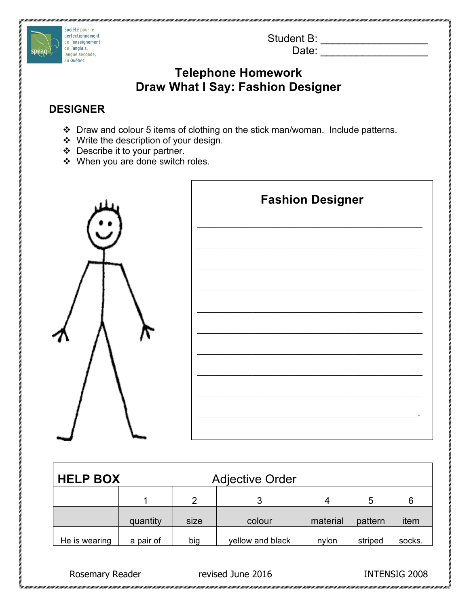Student B: \_\_\_\_\_\_\_\_\_\_\_\_\_\_\_\_\_\_

Date: \_\_\_\_\_\_\_\_\_\_\_\_\_\_\_\_\_\_

## **Telephone Homework Draw What I Say: Fashion Designer**

### **DESIGNER**

Société pour le perfectionnement de l'enseignement de l'anglais,

langue seconde, au Québec

i<br>I

speag

- \* Draw and colour 5 items of clothing on the stick man/woman. Include patterns.
- $\div$  Write the description of your design.
- $\div$  Describe it to your partner.
- $\cdot \cdot$  When you are done switch roles.



| <b>HELP BOX</b><br><b>Adjective Order</b> |           |      |                  |          |         |        |
|-------------------------------------------|-----------|------|------------------|----------|---------|--------|
|                                           |           | 2    | 3                | 4        | 5       | 6      |
|                                           | quantity  | size | colour           | material | pattern | item   |
| He is wearing                             | a pair of | big  | yellow and black | nylon    | striped | socks. |